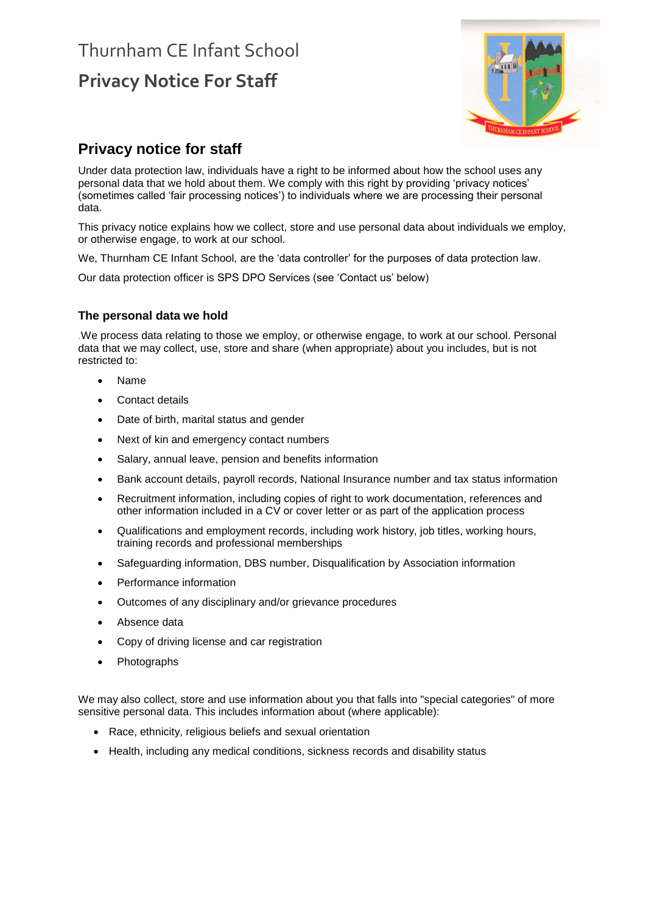# Thurnham CE Infant School **Privacy Notice For Staff**



# **Privacy notice for staff**

Under data protection law, individuals have a right to be informed about how the school uses any personal data that we hold about them. We comply with this right by providing 'privacy notices' (sometimes called 'fair processing notices') to individuals where we are processing their personal data.

This privacy notice explains how we collect, store and use personal data about individuals we employ, or otherwise engage, to work at our school.

We, Thurnham CE Infant School, are the 'data controller' for the purposes of data protection law.

Our data protection officer is SPS DPO Services (see 'Contact us' below)

# **The personal data we hold**

*.*We process data relating to those we employ, or otherwise engage, to work at our school. Personal data that we may collect, use, store and share (when appropriate) about you includes, but is not restricted to:

- Name
- Contact details
- Date of birth, marital status and gender
- Next of kin and emergency contact numbers
- Salary, annual leave, pension and benefits information
- Bank account details, payroll records, National Insurance number and tax status information
- Recruitment information, including copies of right to work documentation, references and other information included in a CV or cover letter or as part of the application process
- Qualifications and employment records, including work history, job titles, working hours, training records and professional memberships
- Safeguarding information, DBS number, Disqualification by Association information
- Performance information
- Outcomes of any disciplinary and/or grievance procedures
- Absence data
- Copy of driving license and car registration
- **Photographs**

We may also collect, store and use information about you that falls into "special categories" of more sensitive personal data. This includes information about (where applicable):

- Race, ethnicity, religious beliefs and sexual orientation
- Health, including any medical conditions, sickness records and disability status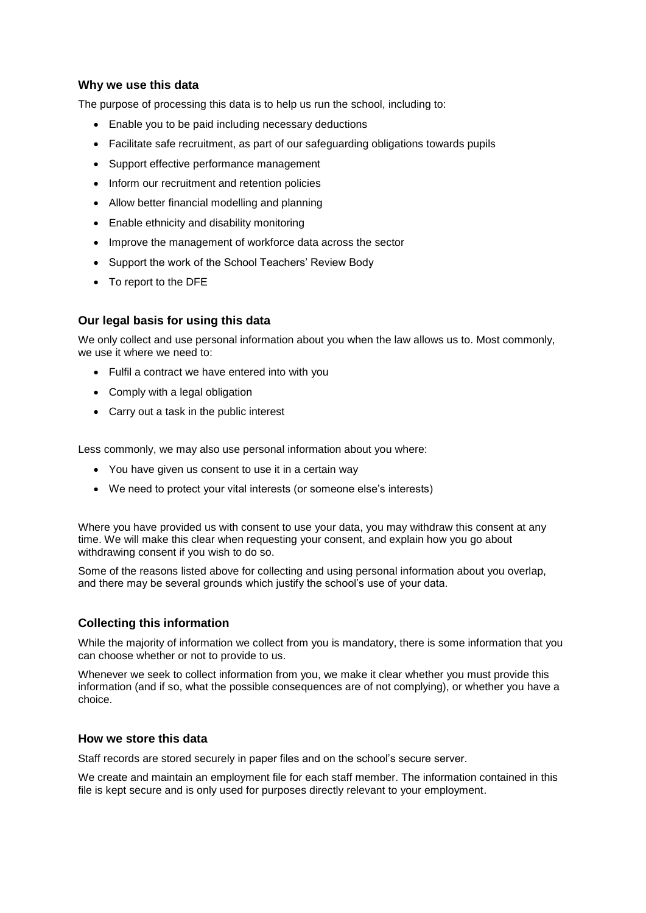## **Why we use this data**

The purpose of processing this data is to help us run the school, including to:

- Enable you to be paid including necessary deductions
- Facilitate safe recruitment, as part of our safeguarding obligations towards pupils
- Support effective performance management
- Inform our recruitment and retention policies
- Allow better financial modelling and planning
- Enable ethnicity and disability monitoring
- Improve the management of workforce data across the sector
- Support the work of the School Teachers' Review Body
- To report to the DFE

## **Our legal basis for using this data**

We only collect and use personal information about you when the law allows us to. Most commonly, we use it where we need to:

- Fulfil a contract we have entered into with you
- Comply with a legal obligation
- Carry out a task in the public interest

Less commonly, we may also use personal information about you where:

- You have given us consent to use it in a certain way
- We need to protect your vital interests (or someone else's interests)

Where you have provided us with consent to use your data, you may withdraw this consent at any time. We will make this clear when requesting your consent, and explain how you go about withdrawing consent if you wish to do so.

Some of the reasons listed above for collecting and using personal information about you overlap, and there may be several grounds which justify the school's use of your data.

# **Collecting this information**

While the majority of information we collect from you is mandatory, there is some information that you can choose whether or not to provide to us.

Whenever we seek to collect information from you, we make it clear whether you must provide this information (and if so, what the possible consequences are of not complying), or whether you have a choice.

#### **How we store this data**

Staff records are stored securely in paper files and on the school's secure server.

We create and maintain an employment file for each staff member. The information contained in this file is kept secure and is only used for purposes directly relevant to your employment.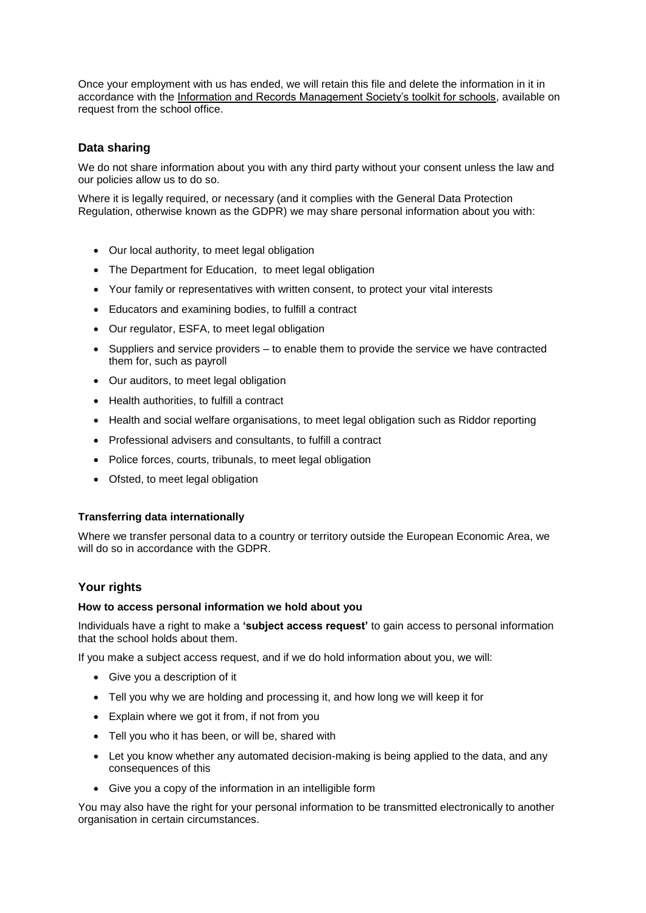Once your employment with us has ended, we will retain this file and delete the information in it in accordance with the [Information and Records Management Society's toolkit for schools,](http://irms.org.uk/?page=schoolstoolkit&terms=%22toolkit+and+schools%22) available on request from the school office.

# **Data sharing**

We do not share information about you with any third party without your consent unless the law and our policies allow us to do so.

Where it is legally required, or necessary (and it complies with the General Data Protection Regulation, otherwise known as the GDPR) we may share personal information about you with:

- Our local authority, to meet legal obligation
- The Department for Education, to meet legal obligation
- Your family or representatives with written consent, to protect your vital interests
- Educators and examining bodies, to fulfill a contract
- Our regulator, ESFA, to meet legal obligation
- Suppliers and service providers to enable them to provide the service we have contracted them for, such as payroll
- Our auditors, to meet legal obligation
- Health authorities, to fulfill a contract
- Health and social welfare organisations, to meet legal obligation such as Riddor reporting
- Professional advisers and consultants, to fulfill a contract
- Police forces, courts, tribunals, to meet legal obligation
- Ofsted, to meet legal obligation

#### **Transferring data internationally**

Where we transfer personal data to a country or territory outside the European Economic Area, we will do so in accordance with the GDPR.

#### **Your rights**

#### **How to access personal information we hold about you**

Individuals have a right to make a **'subject access request'** to gain access to personal information that the school holds about them.

If you make a subject access request, and if we do hold information about you, we will:

- Give you a description of it
- Tell you why we are holding and processing it, and how long we will keep it for
- Explain where we got it from, if not from you
- Tell you who it has been, or will be, shared with
- Let you know whether any automated decision-making is being applied to the data, and any consequences of this
- Give you a copy of the information in an intelligible form

You may also have the right for your personal information to be transmitted electronically to another organisation in certain circumstances.